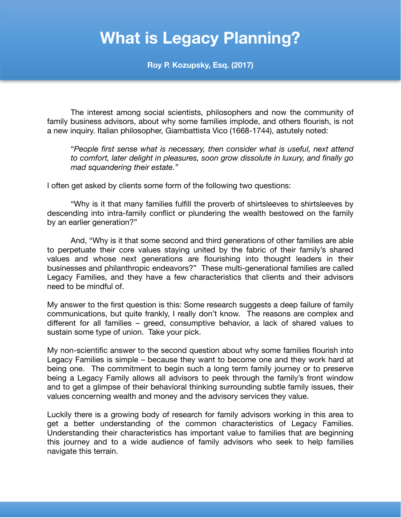## **What is Legacy Planning?**

**Roy P. Kozupsky, Esq. (2017)**

The interest among social scientists, philosophers and now the community of family business advisors, about why some families implode, and others flourish, is not a new inquiry. Italian philosopher, Giambattista Vico (1668-1744), astutely noted:

"*People first sense what is necessary, then consider what is useful, next attend to comfort, later delight in pleasures, soon grow dissolute in luxury, and finally go mad squandering their estate."* 

I often get asked by clients some form of the following two questions:

"Why is it that many families fulfill the proverb of shirtsleeves to shirtsleeves by descending into intra-family conflict or plundering the wealth bestowed on the family by an earlier generation?"

And, "Why is it that some second and third generations of other families are able to perpetuate their core values staying united by the fabric of their family's shared values and whose next generations are flourishing into thought leaders in their businesses and philanthropic endeavors?" These multi-generational families are called Legacy Families, and they have a few characteristics that clients and their advisors need to be mindful of.

My answer to the first question is this: Some research suggests a deep failure of family communications, but quite frankly, I really don't know. The reasons are complex and different for all families – greed, consumptive behavior, a lack of shared values to sustain some type of union. Take your pick.

My non-scientific answer to the second question about why some families flourish into Legacy Families is simple – because they want to become one and they work hard at being one. The commitment to begin such a long term family journey or to preserve being a Legacy Family allows all advisors to peek through the family's front window and to get a glimpse of their behavioral thinking surrounding subtle family issues, their values concerning wealth and money and the advisory services they value.

Luckily there is a growing body of research for family advisors working in this area to get a better understanding of the common characteristics of Legacy Families. Understanding their characteristics has important value to families that are beginning this journey and to a wide audience of family advisors who seek to help families navigate this terrain.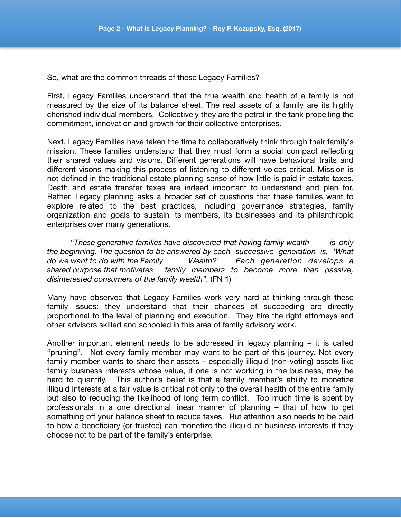So, what are the common threads of these Legacy Families?

First, Legacy Families understand that the true wealth and health of a family is not measured by the size of its balance sheet. The real assets of a family are its highly cherished individual members. Collectively they are the petrol in the tank propelling the commitment, innovation and growth for their collective enterprises.

Next, Legacy Families have taken the time to collaboratively think through their family's mission. These families understand that they must form a social compact reflecting their shared values and visions. Different generations will have behavioral traits and different visons making this process of listening to different voices critical. Mission is not defined in the traditional estate planning sense of how little is paid in estate taxes. Death and estate transfer taxes are indeed important to understand and plan for. Rather, Legacy planning asks a broader set of questions that these families want to explore related to the best practices, including governance strategies, family organization and goals to sustain its members, its businesses and its philanthropic enterprises over many generations.

"*These generative families have discovered that having family wealth is only the beginning. The question to be answered by each successive generation is, 'What do we want to do with the Family Wealth?' Each generation develops a shared purpose that motivates family members to become more than passive, disinterested consumers of the family wealth"*. (FN 1)

Many have observed that Legacy Families work very hard at thinking through these family issues: they understand that their chances of succeeding are directly proportional to the level of planning and execution. They hire the right attorneys and other advisors skilled and schooled in this area of family advisory work.

Another important element needs to be addressed in legacy planning – it is called "pruning". Not every family member may want to be part of this journey. Not every family member wants to share their assets – especially illiquid (non-voting) assets like family business interests whose value, if one is not working in the business, may be hard to quantify. This author's belief is that a family member's ability to monetize illiquid interests at a fair value is critical not only to the overall health of the entire family but also to reducing the likelihood of long term conflict. Too much time is spent by professionals in a one directional linear manner of planning – that of how to get something off your balance sheet to reduce taxes. But attention also needs to be paid to how a beneficiary (or trustee) can monetize the illiquid or business interests if they choose not to be part of the family's enterprise.